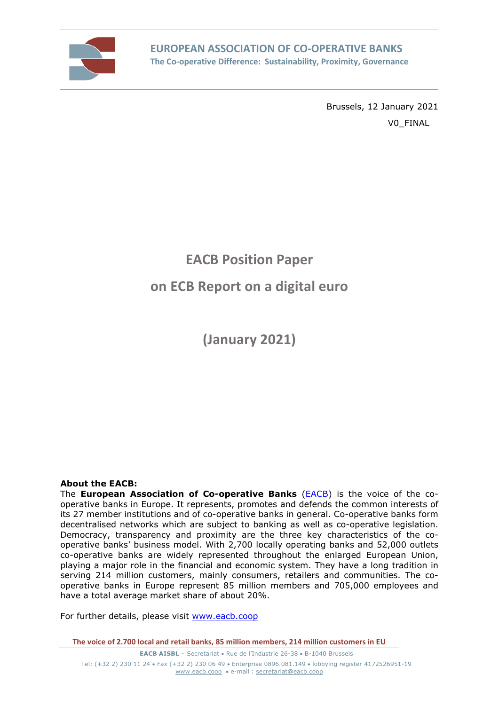

Brussels, 12 January 2021 V0\_FINAL

# **EACB Position Paper on ECB Report on a digital euro**

**(January 2021)** 

#### **About the EACB:**

The **European Association of Co-operative Banks** (EACB) is the voice of the cooperative banks in Europe. It represents, promotes and defends the common interests of its 27 member institutions and of co-operative banks in general. Co-operative banks form decentralised networks which are subject to banking as well as co-operative legislation. Democracy, transparency and proximity are the three key characteristics of the cooperative banks' business model. With 2,700 locally operating banks and 52,000 outlets co-operative banks are widely represented throughout the enlarged European Union, playing a major role in the financial and economic system. They have a long tradition in serving 214 million customers, mainly consumers, retailers and communities. The cooperative banks in Europe represent 85 million members and 705,000 employees and have a total average market share of about 20%.

For further details, please visit www.eacb.coop

**The voice of 2.700 local and retail banks, 85 million members, 214 million customers in EU**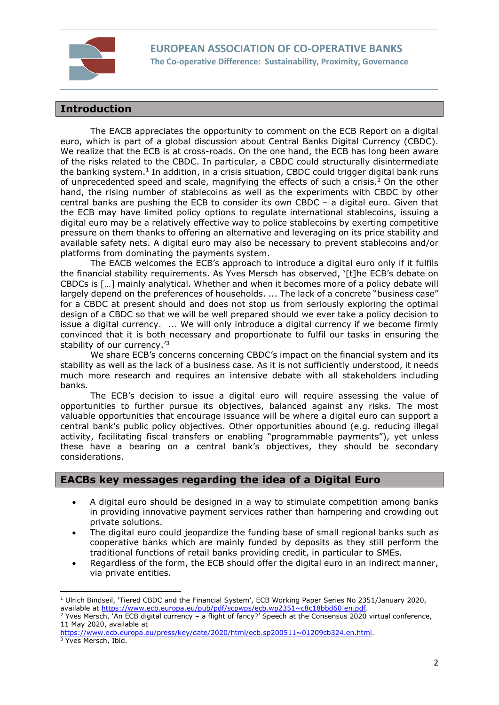

# **Introduction**

The EACB appreciates the opportunity to comment on the ECB Report on a digital euro, which is part of a global discussion about Central Banks Digital Currency (CBDC). We realize that the ECB is at cross-roads. On the one hand, the ECB has long been aware of the risks related to the CBDC. In particular, a CBDC could structurally disintermediate the banking system.<sup>1</sup> In addition, in a crisis situation, CBDC could trigger digital bank runs of unprecedented speed and scale, magnifying the effects of such a crisis. $2$  On the other hand, the rising number of stablecoins as well as the experiments with CBDC by other central banks are pushing the ECB to consider its own CBDC – a digital euro. Given that the ECB may have limited policy options to regulate international stablecoins, issuing a digital euro may be a relatively effective way to police stablecoins by exerting competitive pressure on them thanks to offering an alternative and leveraging on its price stability and available safety nets. A digital euro may also be necessary to prevent stablecoins and/or platforms from dominating the payments system.

The EACB welcomes the ECB's approach to introduce a digital euro only if it fulfils the financial stability requirements. As Yves Mersch has observed, '[t]he ECB's debate on CBDCs is […] mainly analytical. Whether and when it becomes more of a policy debate will largely depend on the preferences of households. ... The lack of a concrete "business case" for a CBDC at present should and does not stop us from seriously exploring the optimal design of a CBDC so that we will be well prepared should we ever take a policy decision to issue a digital currency. ... We will only introduce a digital currency if we become firmly convinced that it is both necessary and proportionate to fulfil our tasks in ensuring the stability of our currency.'<sup>3</sup>

We share ECB's concerns concerning CBDC's impact on the financial system and its stability as well as the lack of a business case. As it is not sufficiently understood, it needs much more research and requires an intensive debate with all stakeholders including banks.

The ECB's decision to issue a digital euro will require assessing the value of opportunities to further pursue its objectives, balanced against any risks. The most valuable opportunities that encourage issuance will be where a digital euro can support a central bank's public policy objectives. Other opportunities abound (e.g. reducing illegal activity, facilitating fiscal transfers or enabling "programmable payments"), yet unless these have a bearing on a central bank's objectives, they should be secondary considerations.

# **EACBs key messages regarding the idea of a Digital Euro**

- A digital euro should be designed in a way to stimulate competition among banks in providing innovative payment services rather than hampering and crowding out private solutions.
- The digital euro could jeopardize the funding base of small regional banks such as cooperative banks which are mainly funded by deposits as they still perform the traditional functions of retail banks providing credit, in particular to SMEs.
- Regardless of the form, the ECB should offer the digital euro in an indirect manner, via private entities.

<sup>&</sup>lt;sup>1</sup> Ulrich Bindseil, 'Tiered CBDC and the Financial System', ECB Working Paper Series No 2351/January 2020, available at https://www.ecb.europa.eu/pub/pdf/scpwps/ecb.wp2351~c8c18bbd60.en.pdf.

<sup>2</sup> Yves Mersch, 'An ECB digital currency – a flight of fancy?' Speech at the Consensus 2020 virtual conference, 11 May 2020, available at

https://www.ecb.europa.eu/press/key/date/2020/html/ecb.sp200511~01209cb324.en.html. 3 Yves Mersch, Ibid.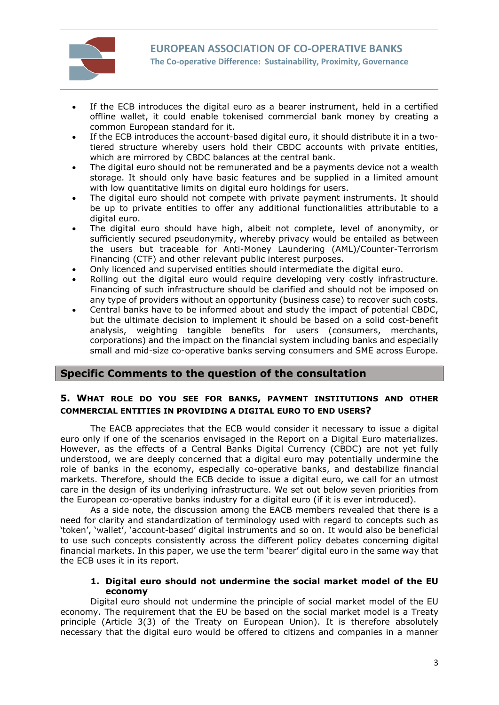

- If the ECB introduces the digital euro as a bearer instrument, held in a certified offline wallet, it could enable tokenised commercial bank money by creating a common European standard for it.
- If the ECB introduces the account-based digital euro, it should distribute it in a twotiered structure whereby users hold their CBDC accounts with private entities, which are mirrored by CBDC balances at the central bank.
- The digital euro should not be remunerated and be a payments device not a wealth storage. It should only have basic features and be supplied in a limited amount with low quantitative limits on digital euro holdings for users.
- The digital euro should not compete with private payment instruments. It should be up to private entities to offer any additional functionalities attributable to a digital euro.
- The digital euro should have high, albeit not complete, level of anonymity, or sufficiently secured pseudonymity, whereby privacy would be entailed as between the users but traceable for Anti-Money Laundering (AML)/Counter-Terrorism Financing (CTF) and other relevant public interest purposes.
- Only licenced and supervised entities should intermediate the digital euro.
- Rolling out the digital euro would require developing very costly infrastructure. Financing of such infrastructure should be clarified and should not be imposed on any type of providers without an opportunity (business case) to recover such costs.
- Central banks have to be informed about and study the impact of potential CBDC, but the ultimate decision to implement it should be based on a solid cost-benefit analysis, weighting tangible benefits for users (consumers, merchants, corporations) and the impact on the financial system including banks and especially small and mid-size co-operative banks serving consumers and SME across Europe.

# **Specific Comments to the question of the consultation**

## **5. WHAT ROLE DO YOU SEE FOR BANKS, PAYMENT INSTITUTIONS AND OTHER COMMERCIAL ENTITIES IN PROVIDING A DIGITAL EURO TO END USERS?**

The EACB appreciates that the ECB would consider it necessary to issue a digital euro only if one of the scenarios envisaged in the Report on a Digital Euro materializes. However, as the effects of a Central Banks Digital Currency (CBDC) are not yet fully understood, we are deeply concerned that a digital euro may potentially undermine the role of banks in the economy, especially co-operative banks, and destabilize financial markets. Therefore, should the ECB decide to issue a digital euro, we call for an utmost care in the design of its underlying infrastructure. We set out below seven priorities from the European co-operative banks industry for a digital euro (if it is ever introduced).

As a side note, the discussion among the EACB members revealed that there is a need for clarity and standardization of terminology used with regard to concepts such as 'token', 'wallet', 'account-based' digital instruments and so on. It would also be beneficial to use such concepts consistently across the different policy debates concerning digital financial markets. In this paper, we use the term 'bearer' digital euro in the same way that the ECB uses it in its report.

#### **1. Digital euro should not undermine the social market model of the EU economy**

Digital euro should not undermine the principle of social market model of the EU economy. The requirement that the EU be based on the social market model is a Treaty principle (Article 3(3) of the Treaty on European Union). It is therefore absolutely necessary that the digital euro would be offered to citizens and companies in a manner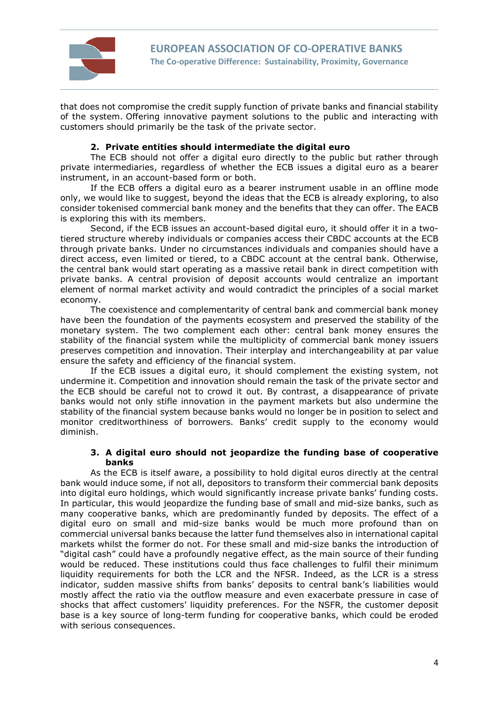

that does not compromise the credit supply function of private banks and financial stability of the system. Offering innovative payment solutions to the public and interacting with customers should primarily be the task of the private sector.

#### **2. Private entities should intermediate the digital euro**

The ECB should not offer a digital euro directly to the public but rather through private intermediaries, regardless of whether the ECB issues a digital euro as a bearer instrument, in an account-based form or both.

If the ECB offers a digital euro as a bearer instrument usable in an offline mode only, we would like to suggest, beyond the ideas that the ECB is already exploring, to also consider tokenised commercial bank money and the benefits that they can offer. The EACB is exploring this with its members.

Second, if the ECB issues an account-based digital euro, it should offer it in a twotiered structure whereby individuals or companies access their CBDC accounts at the ECB through private banks. Under no circumstances individuals and companies should have a direct access, even limited or tiered, to a CBDC account at the central bank. Otherwise, the central bank would start operating as a massive retail bank in direct competition with private banks. A central provision of deposit accounts would centralize an important element of normal market activity and would contradict the principles of a social market economy.

The coexistence and complementarity of central bank and commercial bank money have been the foundation of the payments ecosystem and preserved the stability of the monetary system. The two complement each other: central bank money ensures the stability of the financial system while the multiplicity of commercial bank money issuers preserves competition and innovation. Their interplay and interchangeability at par value ensure the safety and efficiency of the financial system.

If the ECB issues a digital euro, it should complement the existing system, not undermine it. Competition and innovation should remain the task of the private sector and the ECB should be careful not to crowd it out. By contrast, a disappearance of private banks would not only stifle innovation in the payment markets but also undermine the stability of the financial system because banks would no longer be in position to select and monitor creditworthiness of borrowers. Banks' credit supply to the economy would diminish.

#### **3. A digital euro should not jeopardize the funding base of cooperative banks**

As the ECB is itself aware, a possibility to hold digital euros directly at the central bank would induce some, if not all, depositors to transform their commercial bank deposits into digital euro holdings, which would significantly increase private banks' funding costs. In particular, this would jeopardize the funding base of small and mid-size banks, such as many cooperative banks, which are predominantly funded by deposits. The effect of a digital euro on small and mid-size banks would be much more profound than on commercial universal banks because the latter fund themselves also in international capital markets whilst the former do not. For these small and mid-size banks the introduction of "digital cash" could have a profoundly negative effect, as the main source of their funding would be reduced. These institutions could thus face challenges to fulfil their minimum liquidity requirements for both the LCR and the NFSR. Indeed, as the LCR is a stress indicator, sudden massive shifts from banks' deposits to central bank's liabilities would mostly affect the ratio via the outflow measure and even exacerbate pressure in case of shocks that affect customers' liquidity preferences. For the NSFR, the customer deposit base is a key source of long-term funding for cooperative banks, which could be eroded with serious consequences.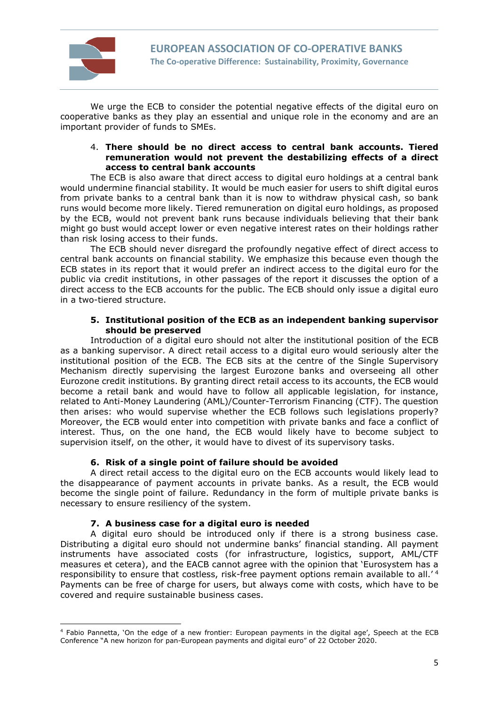

We urge the ECB to consider the potential negative effects of the digital euro on cooperative banks as they play an essential and unique role in the economy and are an important provider of funds to SMEs.

#### 4. **There should be no direct access to central bank accounts. Tiered remuneration would not prevent the destabilizing effects of a direct access to central bank accounts**

The ECB is also aware that direct access to digital euro holdings at a central bank would undermine financial stability. It would be much easier for users to shift digital euros from private banks to a central bank than it is now to withdraw physical cash, so bank runs would become more likely. Tiered remuneration on digital euro holdings, as proposed by the ECB, would not prevent bank runs because individuals believing that their bank might go bust would accept lower or even negative interest rates on their holdings rather than risk losing access to their funds.

The ECB should never disregard the profoundly negative effect of direct access to central bank accounts on financial stability. We emphasize this because even though the ECB states in its report that it would prefer an indirect access to the digital euro for the public via credit institutions, in other passages of the report it discusses the option of a direct access to the ECB accounts for the public. The ECB should only issue a digital euro in a two-tiered structure.

#### **5. Institutional position of the ECB as an independent banking supervisor should be preserved**

Introduction of a digital euro should not alter the institutional position of the ECB as a banking supervisor. A direct retail access to a digital euro would seriously alter the institutional position of the ECB. The ECB sits at the centre of the Single Supervisory Mechanism directly supervising the largest Eurozone banks and overseeing all other Eurozone credit institutions. By granting direct retail access to its accounts, the ECB would become a retail bank and would have to follow all applicable legislation, for instance, related to Anti-Money Laundering (AML)/Counter-Terrorism Financing (CTF). The question then arises: who would supervise whether the ECB follows such legislations properly? Moreover, the ECB would enter into competition with private banks and face a conflict of interest. Thus, on the one hand, the ECB would likely have to become subject to supervision itself, on the other, it would have to divest of its supervisory tasks.

#### **6. Risk of a single point of failure should be avoided**

A direct retail access to the digital euro on the ECB accounts would likely lead to the disappearance of payment accounts in private banks. As a result, the ECB would become the single point of failure. Redundancy in the form of multiple private banks is necessary to ensure resiliency of the system.

#### **7. A business case for a digital euro is needed**

A digital euro should be introduced only if there is a strong business case. Distributing a digital euro should not undermine banks' financial standing. All payment instruments have associated costs (for infrastructure, logistics, support, AML/CTF measures et cetera), and the EACB cannot agree with the opinion that 'Eurosystem has a responsibility to ensure that costless, risk-free payment options remain available to all.'<sup>4</sup> Payments can be free of charge for users, but always come with costs, which have to be covered and require sustainable business cases.

<sup>4</sup> Fabio Pannetta, 'On the edge of a new frontier: European payments in the digital age', Speech at the ECB Conference "A new horizon for pan-European payments and digital euro" of 22 October 2020.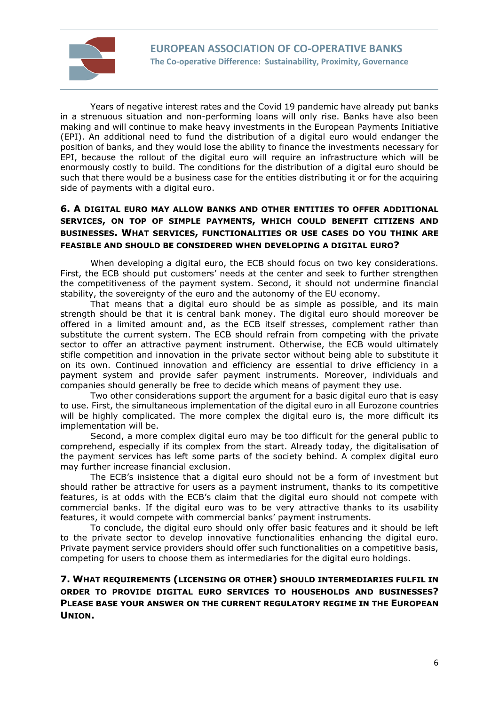

Years of negative interest rates and the Covid 19 pandemic have already put banks in a strenuous situation and non-performing loans will only rise. Banks have also been making and will continue to make heavy investments in the European Payments Initiative (EPI). An additional need to fund the distribution of a digital euro would endanger the position of banks, and they would lose the ability to finance the investments necessary for EPI, because the rollout of the digital euro will require an infrastructure which will be enormously costly to build. The conditions for the distribution of a digital euro should be such that there would be a business case for the entities distributing it or for the acquiring side of payments with a digital euro.

# **6. A DIGITAL EURO MAY ALLOW BANKS AND OTHER ENTITIES TO OFFER ADDITIONAL SERVICES, ON TOP OF SIMPLE PAYMENTS, WHICH COULD BENEFIT CITIZENS AND BUSINESSES. WHAT SERVICES, FUNCTIONALITIES OR USE CASES DO YOU THINK ARE FEASIBLE AND SHOULD BE CONSIDERED WHEN DEVELOPING A DIGITAL EURO?**

When developing a digital euro, the ECB should focus on two key considerations. First, the ECB should put customers' needs at the center and seek to further strengthen the competitiveness of the payment system. Second, it should not undermine financial stability, the sovereignty of the euro and the autonomy of the EU economy.

That means that a digital euro should be as simple as possible, and its main strength should be that it is central bank money. The digital euro should moreover be offered in a limited amount and, as the ECB itself stresses, complement rather than substitute the current system. The ECB should refrain from competing with the private sector to offer an attractive payment instrument. Otherwise, the ECB would ultimately stifle competition and innovation in the private sector without being able to substitute it on its own. Continued innovation and efficiency are essential to drive efficiency in a payment system and provide safer payment instruments. Moreover, individuals and companies should generally be free to decide which means of payment they use.

Two other considerations support the argument for a basic digital euro that is easy to use. First, the simultaneous implementation of the digital euro in all Eurozone countries will be highly complicated. The more complex the digital euro is, the more difficult its implementation will be.

Second, a more complex digital euro may be too difficult for the general public to comprehend, especially if its complex from the start. Already today, the digitalisation of the payment services has left some parts of the society behind. A complex digital euro may further increase financial exclusion.

The ECB's insistence that a digital euro should not be a form of investment but should rather be attractive for users as a payment instrument, thanks to its competitive features, is at odds with the ECB's claim that the digital euro should not compete with commercial banks. If the digital euro was to be very attractive thanks to its usability features, it would compete with commercial banks' payment instruments.

To conclude, the digital euro should only offer basic features and it should be left to the private sector to develop innovative functionalities enhancing the digital euro. Private payment service providers should offer such functionalities on a competitive basis, competing for users to choose them as intermediaries for the digital euro holdings.

# **7. WHAT REQUIREMENTS (LICENSING OR OTHER) SHOULD INTERMEDIARIES FULFIL IN ORDER TO PROVIDE DIGITAL EURO SERVICES TO HOUSEHOLDS AND BUSINESSES? PLEASE BASE YOUR ANSWER ON THE CURRENT REGULATORY REGIME IN THE EUROPEAN UNION.**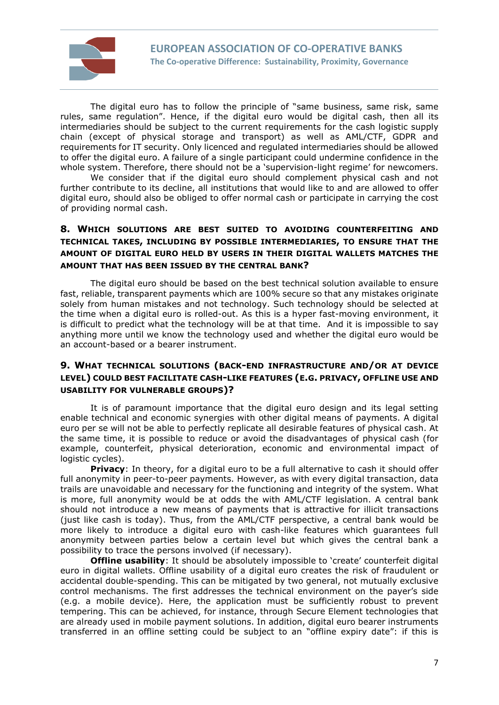

The digital euro has to follow the principle of "same business, same risk, same rules, same regulation". Hence, if the digital euro would be digital cash, then all its intermediaries should be subject to the current requirements for the cash logistic supply chain (except of physical storage and transport) as well as AML/CTF, GDPR and requirements for IT security. Only licenced and regulated intermediaries should be allowed to offer the digital euro. A failure of a single participant could undermine confidence in the whole system. Therefore, there should not be a 'supervision-light regime' for newcomers.

We consider that if the digital euro should complement physical cash and not further contribute to its decline, all institutions that would like to and are allowed to offer digital euro, should also be obliged to offer normal cash or participate in carrying the cost of providing normal cash.

# **8. WHICH SOLUTIONS ARE BEST SUITED TO AVOIDING COUNTERFEITING AND TECHNICAL TAKES, INCLUDING BY POSSIBLE INTERMEDIARIES, TO ENSURE THAT THE AMOUNT OF DIGITAL EURO HELD BY USERS IN THEIR DIGITAL WALLETS MATCHES THE AMOUNT THAT HAS BEEN ISSUED BY THE CENTRAL BANK?**

The digital euro should be based on the best technical solution available to ensure fast, reliable, transparent payments which are 100% secure so that any mistakes originate solely from human mistakes and not technology. Such technology should be selected at the time when a digital euro is rolled-out. As this is a hyper fast-moving environment, it is difficult to predict what the technology will be at that time. And it is impossible to say anything more until we know the technology used and whether the digital euro would be an account-based or a bearer instrument.

## **9. WHAT TECHNICAL SOLUTIONS (BACK-END INFRASTRUCTURE AND/OR AT DEVICE LEVEL) COULD BEST FACILITATE CASH-LIKE FEATURES (E.G. PRIVACY, OFFLINE USE AND USABILITY FOR VULNERABLE GROUPS)?**

It is of paramount importance that the digital euro design and its legal setting enable technical and economic synergies with other digital means of payments. A digital euro per se will not be able to perfectly replicate all desirable features of physical cash. At the same time, it is possible to reduce or avoid the disadvantages of physical cash (for example, counterfeit, physical deterioration, economic and environmental impact of logistic cycles).

**Privacy**: In theory, for a digital euro to be a full alternative to cash it should offer full anonymity in peer-to-peer payments. However, as with every digital transaction, data trails are unavoidable and necessary for the functioning and integrity of the system. What is more, full anonymity would be at odds the with AML/CTF legislation. A central bank should not introduce a new means of payments that is attractive for illicit transactions (just like cash is today). Thus, from the AML/CTF perspective, a central bank would be more likely to introduce a digital euro with cash-like features which guarantees full anonymity between parties below a certain level but which gives the central bank a possibility to trace the persons involved (if necessary).

**Offline usability**: It should be absolutely impossible to 'create' counterfeit digital euro in digital wallets. Offline usability of a digital euro creates the risk of fraudulent or accidental double-spending. This can be mitigated by two general, not mutually exclusive control mechanisms. The first addresses the technical environment on the payer's side (e.g. a mobile device). Here, the application must be sufficiently robust to prevent tempering. This can be achieved, for instance, through Secure Element technologies that are already used in mobile payment solutions. In addition, digital euro bearer instruments transferred in an offline setting could be subject to an "offline expiry date": if this is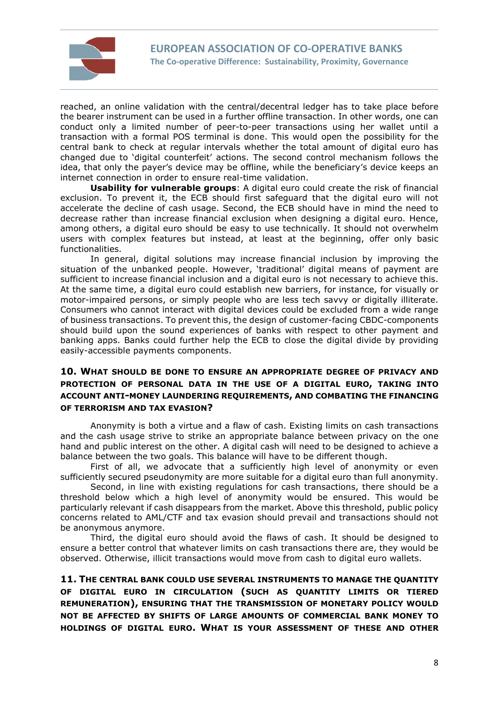

reached, an online validation with the central/decentral ledger has to take place before the bearer instrument can be used in a further offline transaction. In other words, one can conduct only a limited number of peer-to-peer transactions using her wallet until a transaction with a formal POS terminal is done. This would open the possibility for the central bank to check at regular intervals whether the total amount of digital euro has changed due to 'digital counterfeit' actions. The second control mechanism follows the idea, that only the payer's device may be offline, while the beneficiary's device keeps an internet connection in order to ensure real-time validation.

**Usability for vulnerable groups**: A digital euro could create the risk of financial exclusion. To prevent it, the ECB should first safeguard that the digital euro will not accelerate the decline of cash usage. Second, the ECB should have in mind the need to decrease rather than increase financial exclusion when designing a digital euro. Hence, among others, a digital euro should be easy to use technically. It should not overwhelm users with complex features but instead, at least at the beginning, offer only basic functionalities.

In general, digital solutions may increase financial inclusion by improving the situation of the unbanked people. However, 'traditional' digital means of payment are sufficient to increase financial inclusion and a digital euro is not necessary to achieve this. At the same time, a digital euro could establish new barriers, for instance, for visually or motor-impaired persons, or simply people who are less tech savvy or digitally illiterate. Consumers who cannot interact with digital devices could be excluded from a wide range of business transactions. To prevent this, the design of customer-facing CBDC-components should build upon the sound experiences of banks with respect to other payment and banking apps. Banks could further help the ECB to close the digital divide by providing easily-accessible payments components.

## **10. WHAT SHOULD BE DONE TO ENSURE AN APPROPRIATE DEGREE OF PRIVACY AND PROTECTION OF PERSONAL DATA IN THE USE OF A DIGITAL EURO, TAKING INTO ACCOUNT ANTI-MONEY LAUNDERING REQUIREMENTS, AND COMBATING THE FINANCING OF TERRORISM AND TAX EVASION?**

Anonymity is both a virtue and a flaw of cash. Existing limits on cash transactions and the cash usage strive to strike an appropriate balance between privacy on the one hand and public interest on the other. A digital cash will need to be designed to achieve a balance between the two goals. This balance will have to be different though.

First of all, we advocate that a sufficiently high level of anonymity or even sufficiently secured pseudonymity are more suitable for a digital euro than full anonymity.

Second, in line with existing regulations for cash transactions, there should be a threshold below which a high level of anonymity would be ensured. This would be particularly relevant if cash disappears from the market. Above this threshold, public policy concerns related to AML/CTF and tax evasion should prevail and transactions should not be anonymous anymore.

Third, the digital euro should avoid the flaws of cash. It should be designed to ensure a better control that whatever limits on cash transactions there are, they would be observed. Otherwise, illicit transactions would move from cash to digital euro wallets.

**11. THE CENTRAL BANK COULD USE SEVERAL INSTRUMENTS TO MANAGE THE QUANTITY OF DIGITAL EURO IN CIRCULATION (SUCH AS QUANTITY LIMITS OR TIERED REMUNERATION), ENSURING THAT THE TRANSMISSION OF MONETARY POLICY WOULD NOT BE AFFECTED BY SHIFTS OF LARGE AMOUNTS OF COMMERCIAL BANK MONEY TO HOLDINGS OF DIGITAL EURO. WHAT IS YOUR ASSESSMENT OF THESE AND OTHER**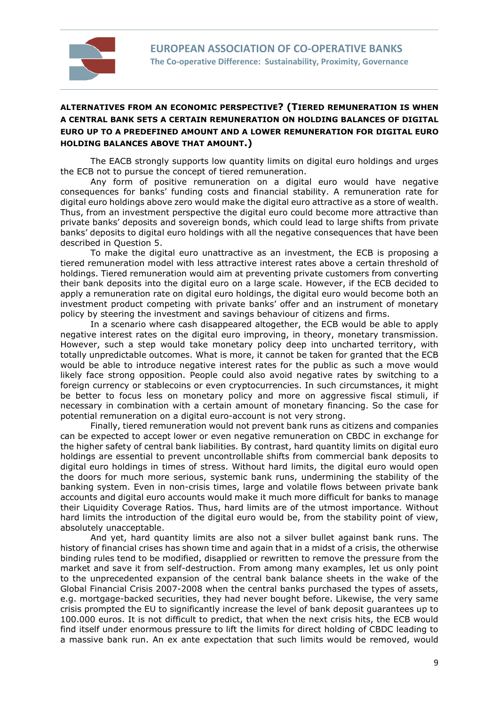

# **ALTERNATIVES FROM AN ECONOMIC PERSPECTIVE? (TIERED REMUNERATION IS WHEN A CENTRAL BANK SETS A CERTAIN REMUNERATION ON HOLDING BALANCES OF DIGITAL EURO UP TO A PREDEFINED AMOUNT AND A LOWER REMUNERATION FOR DIGITAL EURO HOLDING BALANCES ABOVE THAT AMOUNT.)**

The EACB strongly supports low quantity limits on digital euro holdings and urges the ECB not to pursue the concept of tiered remuneration.

Any form of positive remuneration on a digital euro would have negative consequences for banks' funding costs and financial stability. A remuneration rate for digital euro holdings above zero would make the digital euro attractive as a store of wealth. Thus, from an investment perspective the digital euro could become more attractive than private banks' deposits and sovereign bonds, which could lead to large shifts from private banks' deposits to digital euro holdings with all the negative consequences that have been described in Question 5.

To make the digital euro unattractive as an investment, the ECB is proposing a tiered remuneration model with less attractive interest rates above a certain threshold of holdings. Tiered remuneration would aim at preventing private customers from converting their bank deposits into the digital euro on a large scale. However, if the ECB decided to apply a remuneration rate on digital euro holdings, the digital euro would become both an investment product competing with private banks' offer and an instrument of monetary policy by steering the investment and savings behaviour of citizens and firms.

In a scenario where cash disappeared altogether, the ECB would be able to apply negative interest rates on the digital euro improving, in theory, monetary transmission. However, such a step would take monetary policy deep into uncharted territory, with totally unpredictable outcomes. What is more, it cannot be taken for granted that the ECB would be able to introduce negative interest rates for the public as such a move would likely face strong opposition. People could also avoid negative rates by switching to a foreign currency or stablecoins or even cryptocurrencies. In such circumstances, it might be better to focus less on monetary policy and more on aggressive fiscal stimuli, if necessary in combination with a certain amount of monetary financing. So the case for potential remuneration on a digital euro-account is not very strong.

Finally, tiered remuneration would not prevent bank runs as citizens and companies can be expected to accept lower or even negative remuneration on CBDC in exchange for the higher safety of central bank liabilities. By contrast, hard quantity limits on digital euro holdings are essential to prevent uncontrollable shifts from commercial bank deposits to digital euro holdings in times of stress. Without hard limits, the digital euro would open the doors for much more serious, systemic bank runs, undermining the stability of the banking system. Even in non-crisis times, large and volatile flows between private bank accounts and digital euro accounts would make it much more difficult for banks to manage their Liquidity Coverage Ratios. Thus, hard limits are of the utmost importance. Without hard limits the introduction of the digital euro would be, from the stability point of view, absolutely unacceptable.

And yet, hard quantity limits are also not a silver bullet against bank runs. The history of financial crises has shown time and again that in a midst of a crisis, the otherwise binding rules tend to be modified, disapplied or rewritten to remove the pressure from the market and save it from self-destruction. From among many examples, let us only point to the unprecedented expansion of the central bank balance sheets in the wake of the Global Financial Crisis 2007-2008 when the central banks purchased the types of assets, e.g. mortgage-backed securities, they had never bought before. Likewise, the very same crisis prompted the EU to significantly increase the level of bank deposit guarantees up to 100.000 euros. It is not difficult to predict, that when the next crisis hits, the ECB would find itself under enormous pressure to lift the limits for direct holding of CBDC leading to a massive bank run. An ex ante expectation that such limits would be removed, would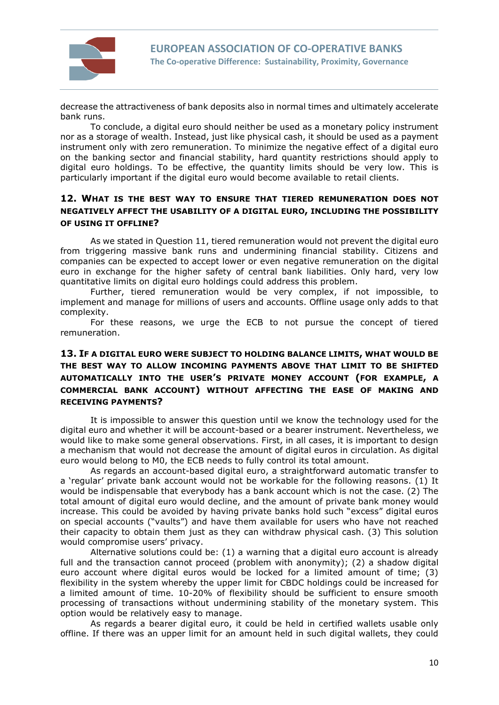

decrease the attractiveness of bank deposits also in normal times and ultimately accelerate bank runs.

To conclude, a digital euro should neither be used as a monetary policy instrument nor as a storage of wealth. Instead, just like physical cash, it should be used as a payment instrument only with zero remuneration. To minimize the negative effect of a digital euro on the banking sector and financial stability, hard quantity restrictions should apply to digital euro holdings. To be effective, the quantity limits should be very low. This is particularly important if the digital euro would become available to retail clients.

## **12. WHAT IS THE BEST WAY TO ENSURE THAT TIERED REMUNERATION DOES NOT NEGATIVELY AFFECT THE USABILITY OF A DIGITAL EURO, INCLUDING THE POSSIBILITY OF USING IT OFFLINE?**

As we stated in Question 11, tiered remuneration would not prevent the digital euro from triggering massive bank runs and undermining financial stability. Citizens and companies can be expected to accept lower or even negative remuneration on the digital euro in exchange for the higher safety of central bank liabilities. Only hard, very low quantitative limits on digital euro holdings could address this problem.

Further, tiered remuneration would be very complex, if not impossible, to implement and manage for millions of users and accounts. Offline usage only adds to that complexity.

For these reasons, we urge the ECB to not pursue the concept of tiered remuneration.

# **13. IF A DIGITAL EURO WERE SUBJECT TO HOLDING BALANCE LIMITS, WHAT WOULD BE THE BEST WAY TO ALLOW INCOMING PAYMENTS ABOVE THAT LIMIT TO BE SHIFTED AUTOMATICALLY INTO THE USER'S PRIVATE MONEY ACCOUNT (FOR EXAMPLE, A COMMERCIAL BANK ACCOUNT) WITHOUT AFFECTING THE EASE OF MAKING AND RECEIVING PAYMENTS?**

It is impossible to answer this question until we know the technology used for the digital euro and whether it will be account-based or a bearer instrument. Nevertheless, we would like to make some general observations. First, in all cases, it is important to design a mechanism that would not decrease the amount of digital euros in circulation. As digital euro would belong to M0, the ECB needs to fully control its total amount.

As regards an account-based digital euro, a straightforward automatic transfer to a 'regular' private bank account would not be workable for the following reasons. (1) It would be indispensable that everybody has a bank account which is not the case. (2) The total amount of digital euro would decline, and the amount of private bank money would increase. This could be avoided by having private banks hold such "excess" digital euros on special accounts ("vaults") and have them available for users who have not reached their capacity to obtain them just as they can withdraw physical cash. (3) This solution would compromise users' privacy.

Alternative solutions could be: (1) a warning that a digital euro account is already full and the transaction cannot proceed (problem with anonymity); (2) a shadow digital euro account where digital euros would be locked for a limited amount of time; (3) flexibility in the system whereby the upper limit for CBDC holdings could be increased for a limited amount of time. 10-20% of flexibility should be sufficient to ensure smooth processing of transactions without undermining stability of the monetary system. This option would be relatively easy to manage.

As regards a bearer digital euro, it could be held in certified wallets usable only offline. If there was an upper limit for an amount held in such digital wallets, they could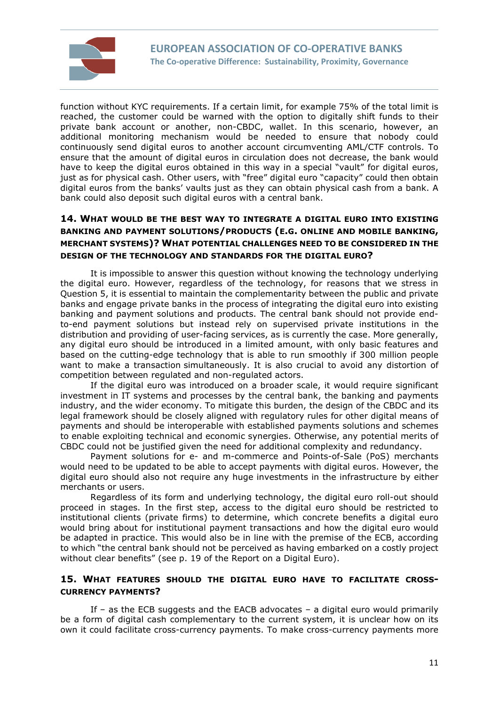

function without KYC requirements. If a certain limit, for example 75% of the total limit is reached, the customer could be warned with the option to digitally shift funds to their private bank account or another, non-CBDC, wallet. In this scenario, however, an additional monitoring mechanism would be needed to ensure that nobody could continuously send digital euros to another account circumventing AML/CTF controls. To ensure that the amount of digital euros in circulation does not decrease, the bank would have to keep the digital euros obtained in this way in a special "vault" for digital euros, just as for physical cash. Other users, with "free" digital euro "capacity" could then obtain digital euros from the banks' vaults just as they can obtain physical cash from a bank. A bank could also deposit such digital euros with a central bank.

# **14. WHAT WOULD BE THE BEST WAY TO INTEGRATE A DIGITAL EURO INTO EXISTING BANKING AND PAYMENT SOLUTIONS/PRODUCTS (E.G. ONLINE AND MOBILE BANKING, MERCHANT SYSTEMS)? WHAT POTENTIAL CHALLENGES NEED TO BE CONSIDERED IN THE DESIGN OF THE TECHNOLOGY AND STANDARDS FOR THE DIGITAL EURO?**

It is impossible to answer this question without knowing the technology underlying the digital euro. However, regardless of the technology, for reasons that we stress in Question 5, it is essential to maintain the complementarity between the public and private banks and engage private banks in the process of integrating the digital euro into existing banking and payment solutions and products. The central bank should not provide endto-end payment solutions but instead rely on supervised private institutions in the distribution and providing of user-facing services, as is currently the case. More generally, any digital euro should be introduced in a limited amount, with only basic features and based on the cutting-edge technology that is able to run smoothly if 300 million people want to make a transaction simultaneously. It is also crucial to avoid any distortion of competition between regulated and non-regulated actors.

If the digital euro was introduced on a broader scale, it would require significant investment in IT systems and processes by the central bank, the banking and payments industry, and the wider economy. To mitigate this burden, the design of the CBDC and its legal framework should be closely aligned with regulatory rules for other digital means of payments and should be interoperable with established payments solutions and schemes to enable exploiting technical and economic synergies. Otherwise, any potential merits of CBDC could not be justified given the need for additional complexity and redundancy.

Payment solutions for e- and m-commerce and Points-of-Sale (PoS) merchants would need to be updated to be able to accept payments with digital euros. However, the digital euro should also not require any huge investments in the infrastructure by either merchants or users.

Regardless of its form and underlying technology, the digital euro roll-out should proceed in stages. In the first step, access to the digital euro should be restricted to institutional clients (private firms) to determine, which concrete benefits a digital euro would bring about for institutional payment transactions and how the digital euro would be adapted in practice. This would also be in line with the premise of the ECB, according to which "the central bank should not be perceived as having embarked on a costly project without clear benefits" (see p. 19 of the Report on a Digital Euro).

#### **15. WHAT FEATURES SHOULD THE DIGITAL EURO HAVE TO FACILITATE CROSS-CURRENCY PAYMENTS?**

If – as the ECB suggests and the EACB advocates – a digital euro would primarily be a form of digital cash complementary to the current system, it is unclear how on its own it could facilitate cross-currency payments. To make cross-currency payments more